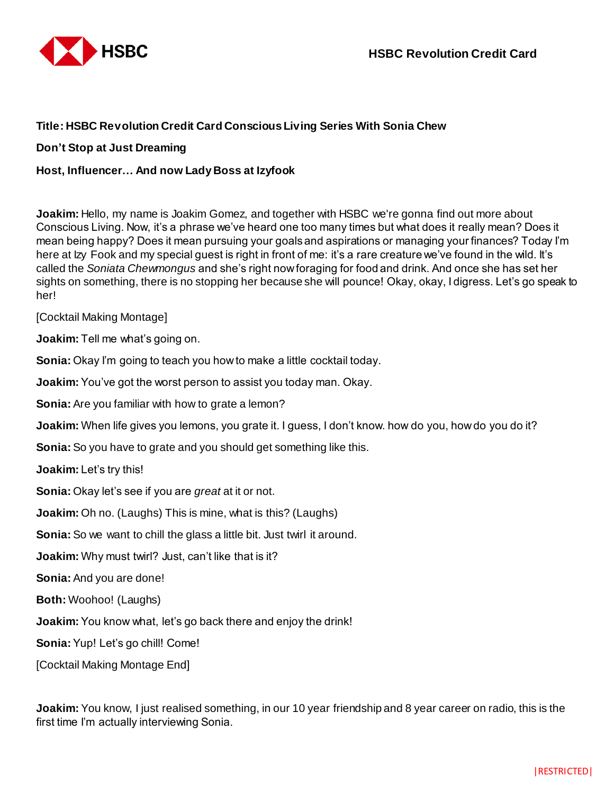

## **Title: HSBC Revolution Credit Card Conscious Living Series With Sonia Chew**

## **Don't Stop at Just Dreaming**

## **Host, Influencer… And now Lady Boss at Izyfook**

**Joakim:** Hello, my name is Joakim Gomez, and together with HSBC we're gonna find out more about Conscious Living. Now, it's a phrase we've heard one too many times but what does it really mean? Does it mean being happy? Does it mean pursuing your goals and aspirations or managing your finances? Today I'm here at lzy Fook and my special guest is right in front of me: it's a rare creature we've found in the wild. It's called the *Soniata Chewmongus* and she's right now foraging for food and drink. And once she has set her sights on something, there is no stopping her because she will pounce! Okay, okay, I digress. Let's go speak to her!

[Cocktail Making Montage]

**Joakim:** Tell me what's going on.

**Sonia:** Okay I'm going to teach you how to make a little cocktail today.

**Joakim:** You've got the worst person to assist you today man. Okay.

**Sonia:** Are you familiar with how to grate a lemon?

**Joakim:** When life gives you lemons, you grate it. I guess, I don't know. how do you, how do you do it?

**Sonia:** So you have to grate and you should get something like this.

**Joakim:** Let's try this!

**Sonia:** Okay let's see if you are *great* at it or not.

**Joakim:** Oh no. (Laughs) This is mine, what is this? (Laughs)

**Sonia:** So we want to chill the glass a little bit. Just twirl it around.

**Joakim:** Why must twirl? Just, can't like that is it?

**Sonia:** And you are done!

**Both:** Woohoo! (Laughs)

**Joakim:** You know what, let's go back there and enjoy the drink!

**Sonia:** Yup! Let's go chill! Come!

[Cocktail Making Montage End]

**Joakim:** You know, I just realised something, in our 10 year friendship and 8 year career on radio, this is the first time I'm actually interviewing Sonia.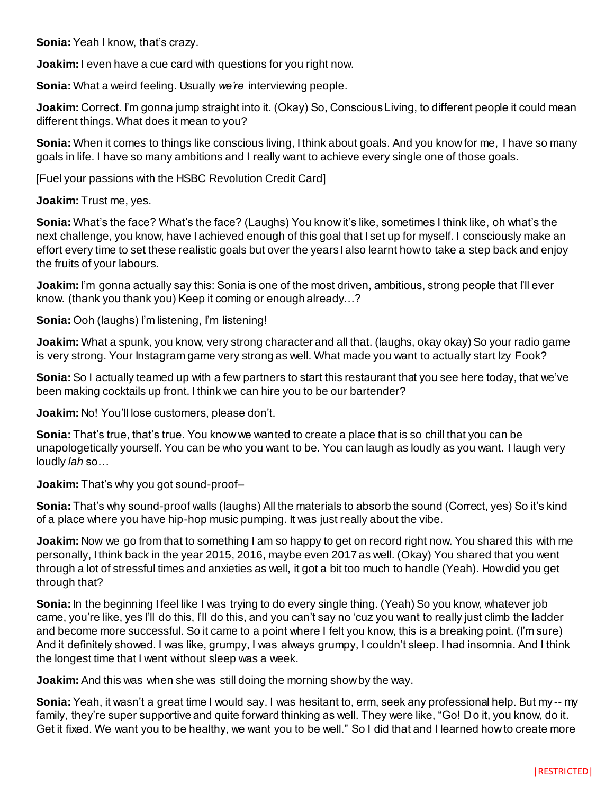**Sonia:** Yeah I know, that's crazy.

**Joakim:** I even have a cue card with questions for you right now.

**Sonia:** What a weird feeling. Usually *we're* interviewing people.

**Joakim:** Correct. I'm gonna jump straight into it. (Okay) So, Conscious Living, to different people it could mean different things. What does it mean to you?

**Sonia:** When it comes to things like conscious living, I think about goals. And you know for me, I have so many goals in life. I have so many ambitions and I really want to achieve every single one of those goals.

[Fuel your passions with the HSBC Revolution Credit Card]

**Joakim:** Trust me, yes.

**Sonia:** What's the face? What's the face? (Laughs) You know it's like, sometimes I think like, oh what's the next challenge, you know, have I achieved enough of this goal that I set up for myself. I consciously make an effort every time to set these realistic goals but over the years I also learnt how to take a step back and enjoy the fruits of your labours.

**Joakim:** I'm gonna actually say this: Sonia is one of the most driven, ambitious, strong people that I'll ever know. (thank you thank you) Keep it coming or enough already…?

**Sonia:** Ooh (laughs) I'm listening, I'm listening!

**Joakim:** What a spunk, you know, very strong character and all that. (laughs, okay okay) So your radio game is very strong. Your Instagram game very strong as well. What made you want to actually start Izy Fook?

**Sonia:** So I actually teamed up with a few partners to start this restaurant that you see here today, that we've been making cocktails up front. I think we can hire you to be our bartender?

**Joakim:** No! You'll lose customers, please don't.

**Sonia:** That's true, that's true. You know we wanted to create a place that is so chill that you can be unapologetically yourself. You can be who you want to be. You can laugh as loudly as you want. I laugh very loudly *lah* so…

**Joakim:** That's why you got sound-proof--

**Sonia:** That's why sound-proof walls (laughs) All the materials to absorb the sound (Correct, yes) So it's kind of a place where you have hip-hop music pumping. It was just really about the vibe.

**Joakim:** Now we go from that to something I am so happy to get on record right now. You shared this with me personally, I think back in the year 2015, 2016, maybe even 2017 as well. (Okay) You shared that you went through a lot of stressful times and anxieties as well, it got a bit too much to handle (Yeah). How did you get through that?

**Sonia:** In the beginning I feel like I was trying to do every single thing. (Yeah) So you know, whatever job came, you're like, yes I'll do this, I'll do this, and you can't say no 'cuz you want to really just climb the ladder and become more successful. So it came to a point where I felt you know, this is a breaking point. (I'm sure) And it definitely showed. I was like, grumpy, I was always grumpy, I couldn't sleep. I had insomnia. And I think the longest time that I went without sleep was a week.

**Joakim:** And this was when she was still doing the morning show by the way.

**Sonia:** Yeah, it wasn't a great time I would say. I was hesitant to, erm, seek any professional help. But my -- my family, they're super supportive and quite forward thinking as well. They were like, "Go! Do it, you know, do it. Get it fixed. We want you to be healthy, we want you to be well." So I did that and I learned how to create more